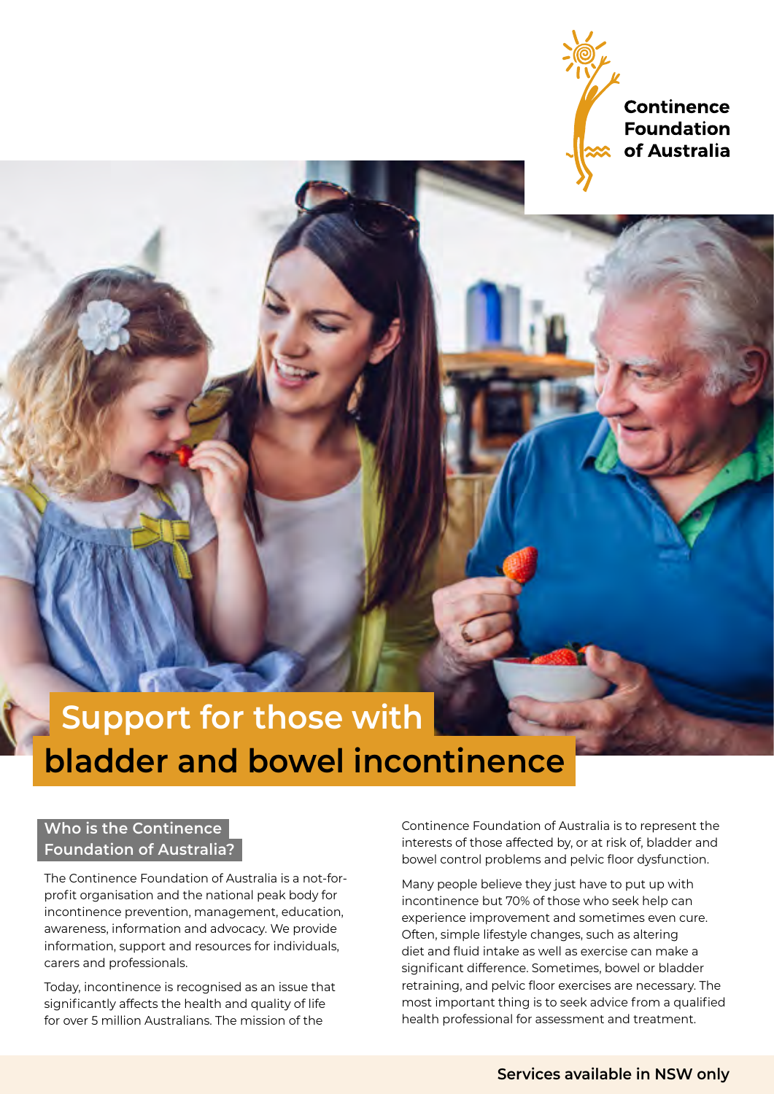**Continence Foundation** of Australia

# **Support for those with bladder and bowel incontinence**

# **Who is the Continence Foundation of Australia?**

The Continence Foundation of Australia is a not-forprofit organisation and the national peak body for incontinence prevention, management, education, awareness, information and advocacy. We provide information, support and resources for individuals, carers and professionals.

Today, incontinence is recognised as an issue that significantly affects the health and quality of life for over 5 million Australians. The mission of the

Continence Foundation of Australia is to represent the interests of those affected by, or at risk of, bladder and bowel control problems and pelvic floor dysfunction.

Many people believe they just have to put up with incontinence but 70% of those who seek help can experience improvement and sometimes even cure. Often, simple lifestyle changes, such as altering diet and fluid intake as well as exercise can make a significant difference. Sometimes, bowel or bladder retraining, and pelvic floor exercises are necessary. The most important thing is to seek advice from a qualified health professional for assessment and treatment.